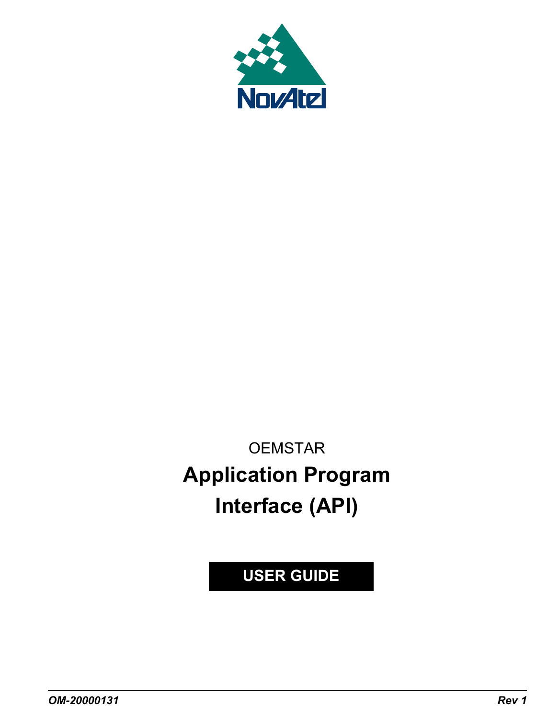

**OEMSTAR Application Program Interface (API)**

**USER GUIDE**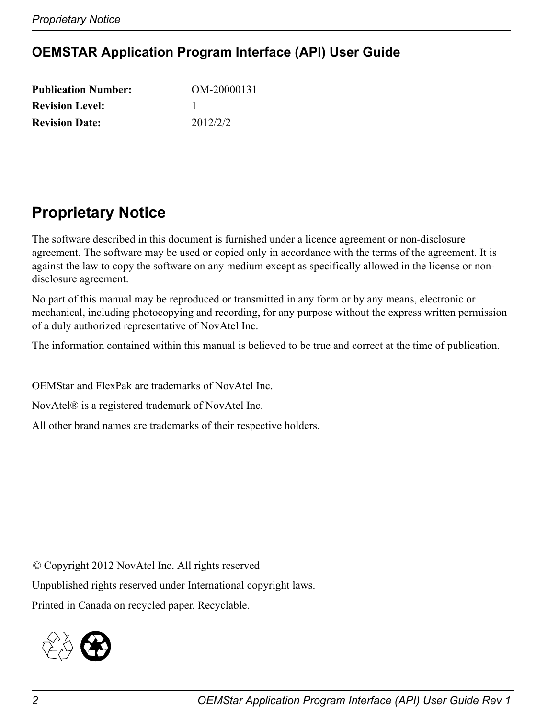# **OEMSTAR Application Program Interface (API) User Guide**

| <b>Publication Number:</b> | OM-20000131 |
|----------------------------|-------------|
| <b>Revision Level:</b>     |             |
| <b>Revision Date:</b>      | 2012/2/2    |

# **Proprietary Notice**

The software described in this document is furnished under a licence agreement or non-disclosure agreement. The software may be used or copied only in accordance with the terms of the agreement. It is against the law to copy the software on any medium except as specifically allowed in the license or nondisclosure agreement.

No part of this manual may be reproduced or transmitted in any form or by any means, electronic or mechanical, including photocopying and recording, for any purpose without the express written permission of a duly authorized representative of NovAtel Inc.

The information contained within this manual is believed to be true and correct at the time of publication.

OEMStar and FlexPak are trademarks of NovAtel Inc.

NovAtel® is a registered trademark of NovAtel Inc.

All other brand names are trademarks of their respective holders.

© Copyright 2012 NovAtel Inc. All rights reserved

Unpublished rights reserved under International copyright laws.

Printed in Canada on recycled paper. Recyclable.

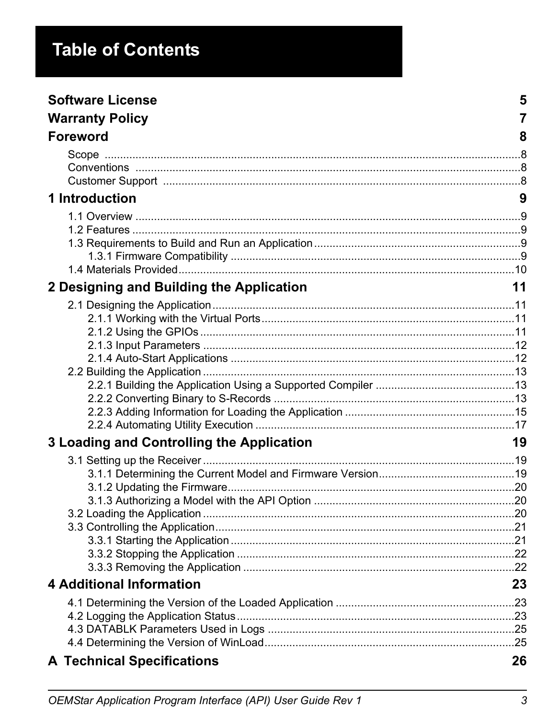# **Table of Contents**

| <b>Software License</b>                   | 5              |
|-------------------------------------------|----------------|
| <b>Warranty Policy</b>                    | $\overline{7}$ |
| <b>Foreword</b>                           | 8              |
|                                           |                |
| 1 Introduction                            | 9              |
|                                           |                |
| 2 Designing and Building the Application  | 11             |
|                                           |                |
| 3 Loading and Controlling the Application | 19             |
|                                           |                |
| <b>4 Additional Information</b>           | 23             |
|                                           |                |
| <b>A Technical Specifications</b>         | 26             |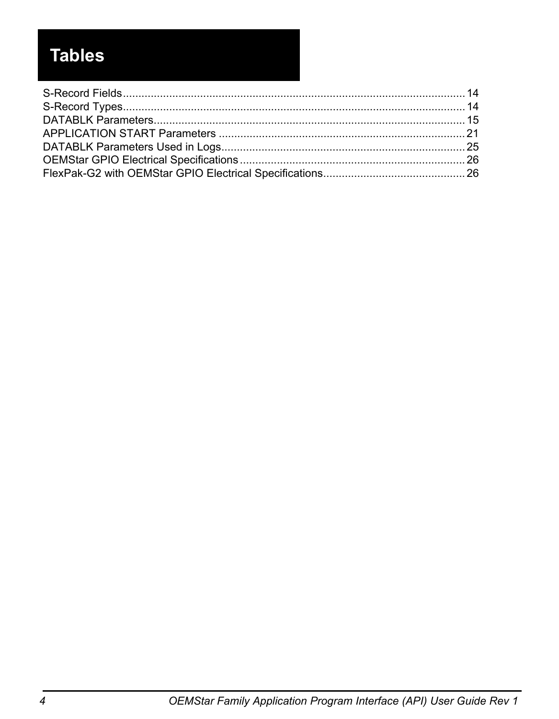# **Tables**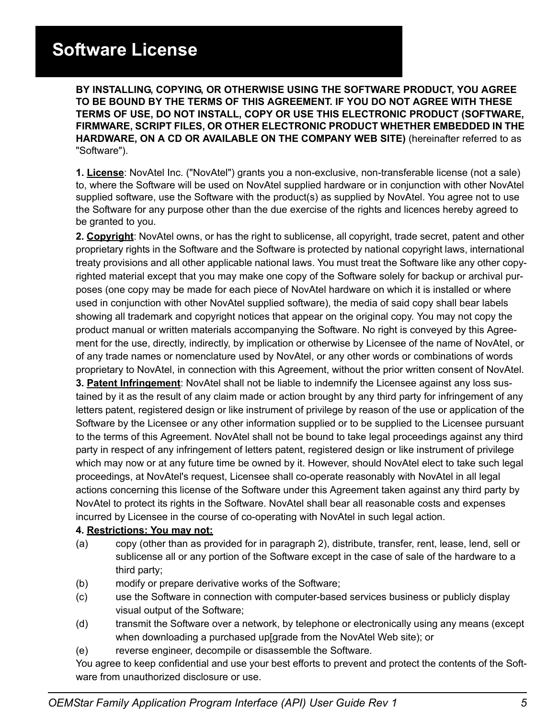# **Software License**

<span id="page-4-0"></span>**Software License BY INSTALLING, COPYING, OR OTHERWISE USING THE SOFTWARE PRODUCT, YOU AGREE TO BE BOUND BY THE TERMS OF THIS AGREEMENT. IF YOU DO NOT AGREE WITH THESE TERMS OF USE, DO NOT INSTALL, COPY OR USE THIS ELECTRONIC PRODUCT (SOFTWARE, FIRMWARE, SCRIPT FILES, OR OTHER ELECTRONIC PRODUCT WHETHER EMBEDDED IN THE HARDWARE, ON A CD OR AVAILABLE ON THE COMPANY WEB SITE)** (hereinafter referred to as "Software").

**1. License**: NovAtel Inc. ("NovAtel") grants you a non-exclusive, non-transferable license (not a sale) to, where the Software will be used on NovAtel supplied hardware or in conjunction with other NovAtel supplied software, use the Software with the product(s) as supplied by NovAtel. You agree not to use the Software for any purpose other than the due exercise of the rights and licences hereby agreed to be granted to you.

**2. Copyright**: NovAtel owns, or has the right to sublicense, all copyright, trade secret, patent and other proprietary rights in the Software and the Software is protected by national copyright laws, international treaty provisions and all other applicable national laws. You must treat the Software like any other copyrighted material except that you may make one copy of the Software solely for backup or archival purposes (one copy may be made for each piece of NovAtel hardware on which it is installed or where used in conjunction with other NovAtel supplied software), the media of said copy shall bear labels showing all trademark and copyright notices that appear on the original copy. You may not copy the product manual or written materials accompanying the Software. No right is conveyed by this Agreement for the use, directly, indirectly, by implication or otherwise by Licensee of the name of NovAtel, or of any trade names or nomenclature used by NovAtel, or any other words or combinations of words proprietary to NovAtel, in connection with this Agreement, without the prior written consent of NovAtel.

**3. Patent Infringement**: NovAtel shall not be liable to indemnify the Licensee against any loss sustained by it as the result of any claim made or action brought by any third party for infringement of any letters patent, registered design or like instrument of privilege by reason of the use or application of the Software by the Licensee or any other information supplied or to be supplied to the Licensee pursuant to the terms of this Agreement. NovAtel shall not be bound to take legal proceedings against any third party in respect of any infringement of letters patent, registered design or like instrument of privilege which may now or at any future time be owned by it. However, should NovAtel elect to take such legal proceedings, at NovAtel's request, Licensee shall co-operate reasonably with NovAtel in all legal actions concerning this license of the Software under this Agreement taken against any third party by NovAtel to protect its rights in the Software. NovAtel shall bear all reasonable costs and expenses incurred by Licensee in the course of co-operating with NovAtel in such legal action.

#### **4. Restrictions: You may not:**

- (a) copy (other than as provided for in paragraph 2), distribute, transfer, rent, lease, lend, sell or sublicense all or any portion of the Software except in the case of sale of the hardware to a third party;
- (b) modify or prepare derivative works of the Software;
- (c) use the Software in connection with computer-based services business or publicly display visual output of the Software;
- (d) transmit the Software over a network, by telephone or electronically using any means (except when downloading a purchased up[grade from the NovAtel Web site); or
- (e) reverse engineer, decompile or disassemble the Software.

You agree to keep confidential and use your best efforts to prevent and protect the contents of the Software from unauthorized disclosure or use.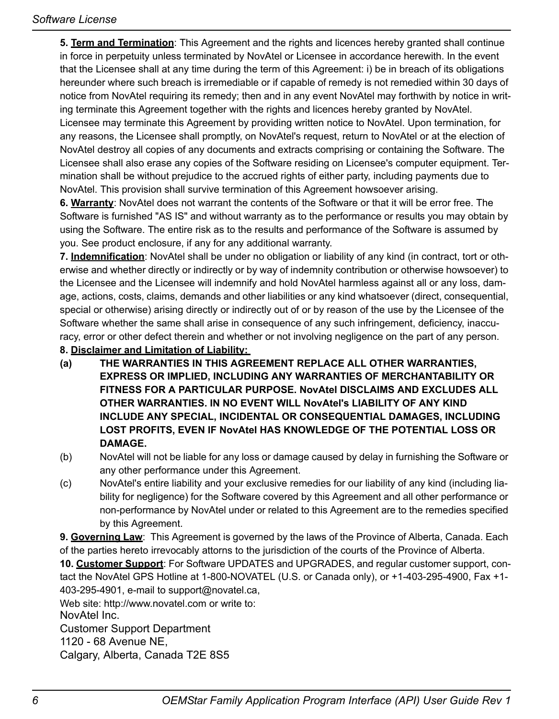**5. Term and Termination**: This Agreement and the rights and licences hereby granted shall continue in force in perpetuity unless terminated by NovAtel or Licensee in accordance herewith. In the event that the Licensee shall at any time during the term of this Agreement: i) be in breach of its obligations hereunder where such breach is irremediable or if capable of remedy is not remedied within 30 days of notice from NovAtel requiring its remedy; then and in any event NovAtel may forthwith by notice in writing terminate this Agreement together with the rights and licences hereby granted by NovAtel. Licensee may terminate this Agreement by providing written notice to NovAtel. Upon termination, for any reasons, the Licensee shall promptly, on NovAtel's request, return to NovAtel or at the election of NovAtel destroy all copies of any documents and extracts comprising or containing the Software. The Licensee shall also erase any copies of the Software residing on Licensee's computer equipment. Termination shall be without prejudice to the accrued rights of either party, including payments due to NovAtel. This provision shall survive termination of this Agreement howsoever arising.

**6. Warranty**: NovAtel does not warrant the contents of the Software or that it will be error free. The Software is furnished "AS IS" and without warranty as to the performance or results you may obtain by using the Software. The entire risk as to the results and performance of the Software is assumed by you. See product enclosure, if any for any additional warranty.

**7. Indemnification**: NovAtel shall be under no obligation or liability of any kind (in contract, tort or otherwise and whether directly or indirectly or by way of indemnity contribution or otherwise howsoever) to the Licensee and the Licensee will indemnify and hold NovAtel harmless against all or any loss, damage, actions, costs, claims, demands and other liabilities or any kind whatsoever (direct, consequential, special or otherwise) arising directly or indirectly out of or by reason of the use by the Licensee of the Software whether the same shall arise in consequence of any such infringement, deficiency, inaccuracy, error or other defect therein and whether or not involving negligence on the part of any person.

#### **8. Disclaimer and Limitation of Liability:**

- **(a) THE WARRANTIES IN THIS AGREEMENT REPLACE ALL OTHER WARRANTIES, EXPRESS OR IMPLIED, INCLUDING ANY WARRANTIES OF MERCHANTABILITY OR FITNESS FOR A PARTICULAR PURPOSE. NovAtel DISCLAIMS AND EXCLUDES ALL OTHER WARRANTIES. IN NO EVENT WILL NovAtel's LIABILITY OF ANY KIND INCLUDE ANY SPECIAL, INCIDENTAL OR CONSEQUENTIAL DAMAGES, INCLUDING LOST PROFITS, EVEN IF NovAtel HAS KNOWLEDGE OF THE POTENTIAL LOSS OR DAMAGE.**
- (b) NovAtel will not be liable for any loss or damage caused by delay in furnishing the Software or any other performance under this Agreement.
- (c) NovAtel's entire liability and your exclusive remedies for our liability of any kind (including liability for negligence) for the Software covered by this Agreement and all other performance or non-performance by NovAtel under or related to this Agreement are to the remedies specified by this Agreement.

**9. Governing Law**: This Agreement is governed by the laws of the Province of Alberta, Canada. Each of the parties hereto irrevocably attorns to the jurisdiction of the courts of the Province of Alberta.

**10. Customer Support**: For Software UPDATES and UPGRADES, and regular customer support, contact the NovAtel GPS Hotline at 1-800-NOVATEL (U.S. or Canada only), or +1-403-295-4900, Fax +1- 403-295-4901, e-mail to support@novatel.ca,

Web site: http://www.novatel.com or write to: NovAtel Inc.

Customer Support Department

1120 - 68 Avenue NE,

Calgary, Alberta, Canada T2E 8S5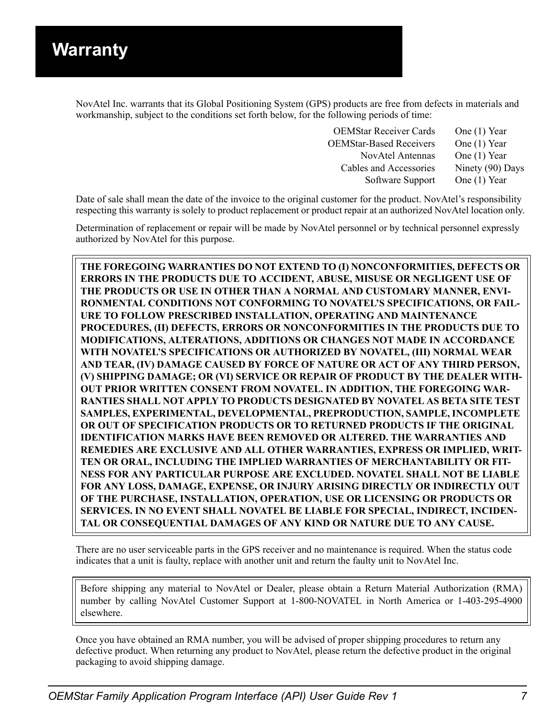<span id="page-6-3"></span><span id="page-6-0"></span>NovAtel Inc. warrants that its Global Positioning System (GPS) products are free from defects in materials and workmanship, subject to the conditions set forth below, for the following periods of time:

<span id="page-6-2"></span><span id="page-6-1"></span>

| <b>OEMStar Receiver Cards</b>  | One (1) Year     |
|--------------------------------|------------------|
| <b>OEMStar-Based Receivers</b> | One (1) Year     |
| <b>NovAtel Antennas</b>        | One (1) Year     |
| Cables and Accessories         | Ninety (90) Days |
| Software Support               | One (1) Year     |

Date of sale shall mean the date of the invoice to the original customer for the product. NovAtel's responsibility respecting this warranty is solely to product replacement or product repair at an authorized NovAtel location only.

Determination of replacement or repair will be made by NovAtel personnel or by technical personnel expressly authorized by NovAtel for this purpose.

**THE FOREGOING WARRANTIES DO NOT EXTEND TO (I) NONCONFORMITIES, DEFECTS OR ERRORS IN THE PRODUCTS DUE TO ACCIDENT, ABUSE, MISUSE OR NEGLIGENT USE OF THE PRODUCTS OR USE IN OTHER THAN A NORMAL AND CUSTOMARY MANNER, ENVI-RONMENTAL CONDITIONS NOT CONFORMING TO NOVATEL'S SPECIFICATIONS, OR FAIL-URE TO FOLLOW PRESCRIBED INSTALLATION, OPERATING AND MAINTENANCE PROCEDURES, (II) DEFECTS, ERRORS OR NONCONFORMITIES IN THE PRODUCTS DUE TO MODIFICATIONS, ALTERATIONS, ADDITIONS OR CHANGES NOT MADE IN ACCORDANCE WITH NOVATEL'S SPECIFICATIONS OR AUTHORIZED BY NOVATEL, (III) NORMAL WEAR AND TEAR, (IV) DAMAGE CAUSED BY FORCE OF NATURE OR ACT OF ANY THIRD PERSON, (V) SHIPPING DAMAGE; OR (VI) SERVICE OR REPAIR OF PRODUCT BY THE DEALER WITH-OUT PRIOR WRITTEN CONSENT FROM NOVATEL. IN ADDITION, THE FOREGOING WAR-RANTIES SHALL NOT APPLY TO PRODUCTS DESIGNATED BY NOVATEL AS BETA SITE TEST SAMPLES, EXPERIMENTAL, DEVELOPMENTAL, PREPRODUCTION, SAMPLE, INCOMPLETE OR OUT OF SPECIFICATION PRODUCTS OR TO RETURNED PRODUCTS IF THE ORIGINAL IDENTIFICATION MARKS HAVE BEEN REMOVED OR ALTERED. THE WARRANTIES AND REMEDIES ARE EXCLUSIVE AND ALL OTHER WARRANTIES, EXPRESS OR IMPLIED, WRIT-TEN OR ORAL, INCLUDING THE IMPLIED WARRANTIES OF MERCHANTABILITY OR FIT-NESS FOR ANY PARTICULAR PURPOSE ARE EXCLUDED. NOVATEL SHALL NOT BE LIABLE FOR ANY LOSS, DAMAGE, EXPENSE, OR INJURY ARISING DIRECTLY OR INDIRECTLY OUT OF THE PURCHASE, INSTALLATION, OPERATION, USE OR LICENSING OR PRODUCTS OR SERVICES. IN NO EVENT SHALL NOVATEL BE LIABLE FOR SPECIAL, INDIRECT, INCIDEN-TAL OR CONSEQUENTIAL DAMAGES OF ANY KIND OR NATURE DUE TO ANY CAUSE.**

There are no user serviceable parts in the GPS receiver and no maintenance is required. When the status code indicates that a unit is faulty, replace with another unit and return the faulty unit to NovAtel Inc.

Before shipping any material to NovAtel or Dealer, please obtain a Return Material Authorization (RMA) number by calling NovAtel Customer Support at 1-800-NOVATEL in North America or 1-403-295-4900 elsewhere.

Once you have obtained an RMA number, you will be advised of proper shipping procedures to return any defective product. When returning any product to NovAtel, please return the defective product in the original packaging to avoid shipping damage.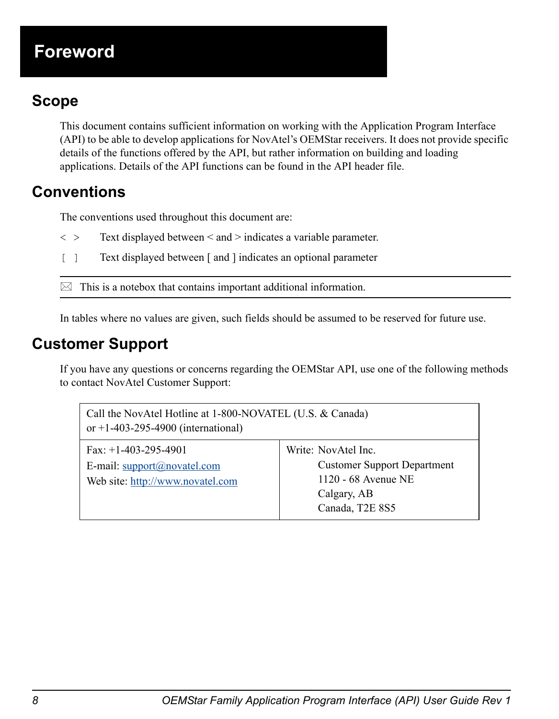# **Foreword**

# <span id="page-7-8"></span><span id="page-7-1"></span>**Foreword Scope**

<span id="page-7-0"></span>This document contains sufficient information on working with the Application Program Interface (API) to be able to develop applications for NovAtel's OEMStar receivers. It does not provide specific details of the functions offered by the API, but rather information on building and loading applications. Details of the API functions can be found in the API header file.

# <span id="page-7-4"></span><span id="page-7-2"></span>**Conventions**

The conventions used throughout this document are:

- $\langle \rangle$  Text displayed between  $\langle$  and  $\rangle$  indicates a variable parameter.
- [ ] Text displayed between [ and ] indicates an optional parameter

 $\boxtimes$  This is a notebox that contains important additional information.

In tables where no values are given, such fields should be assumed to be reserved for future use.

# <span id="page-7-6"></span><span id="page-7-3"></span>**Customer Support**

<span id="page-7-5"></span>If you have any questions or concerns regarding the OEMStar API, use one of the following methods to contact NovAtel Customer Support:

<span id="page-7-10"></span><span id="page-7-9"></span><span id="page-7-7"></span>

| Call the NovAtel Hotline at 1-800-NOVATEL (U.S. & Canada)<br>or +1-403-295-4900 (international) |                                                                                                                    |  |
|-------------------------------------------------------------------------------------------------|--------------------------------------------------------------------------------------------------------------------|--|
| Fax: $+1-403-295-4901$<br>E-mail: support@novatel.com<br>Web site: http://www.novatel.com       | Write: NovAtel Inc.<br><b>Customer Support Department</b><br>1120 - 68 Avenue NE<br>Calgary, AB<br>Canada, T2E 8S5 |  |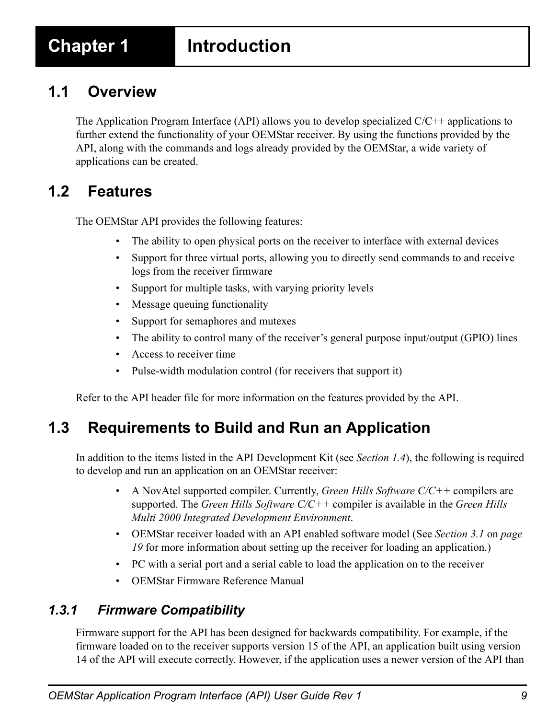# <span id="page-8-0"></span>**Chapter 1 Introduction**

# <span id="page-8-1"></span>**1.1 Overview**

<span id="page-8-7"></span>The Application Program Interface (API) allows you to develop specialized  $C/C++$  applications to further extend the functionality of your OEMStar receiver. By using the functions provided by the API, along with the commands and logs already provided by the OEMStar, a wide variety of applications can be created.

# <span id="page-8-5"></span><span id="page-8-2"></span>**1.2 Features**

The OEMStar API provides the following features:

- The ability to open physical ports on the receiver to interface with external devices
- Support for three virtual ports, allowing you to directly send commands to and receive logs from the receiver firmware
- Support for multiple tasks, with varying priority levels
- Message queuing functionality
- Support for semaphores and mutexes
- The ability to control many of the receiver's general purpose input/output (GPIO) lines
- Access to receiver time
- Pulse-width modulation control (for receivers that support it)

<span id="page-8-6"></span>Refer to the API header file for more information on the features provided by the API.

# <span id="page-8-3"></span>**1.3 Requirements to Build and Run an Application**

In addition to the items listed in the API Development Kit (see *[Section 1.4](#page-9-0)*), the following is required to develop and run an application on an OEMStar receiver:

- <span id="page-8-8"></span>• A NovAtel supported compiler. Currently, *Green Hills Software C/C++* compilers are supported. The *Green Hills Software C/C++* compiler is available in the *Green Hills Multi 2000 Integrated Development Environment*[.](http://www.novatel.com/support/applicationnotes.htm)
- OEMStar receiver loaded with an API enabled software model (See *[Section 3.1](#page-18-3)* on *page [19](#page-18-3)* for more information about setting up the receiver for loading an application.)
- PC with a serial port and a serial cable to load the application on to the receiver
- OEMStar Firmware Reference Manual

## <span id="page-8-4"></span>*1.3.1 Firmware Compatibility*

Firmware support for the API has been designed for backwards compatibility. For example, if the firmware loaded on to the receiver supports version 15 of the API, an application built using version 14 of the API will execute correctly. However, if the application uses a newer version of the API than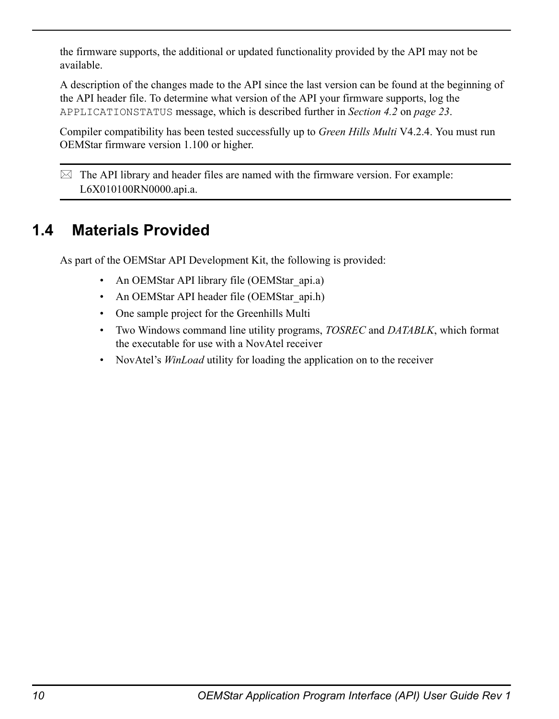the firmware supports, the additional or updated functionality provided by the API may not be available.

A description of the changes made to the API since the last version can be found at the beginning of the API header file. To determine what version of the API your firmware supports, log the APPLICATIONSTATUS message, which is described further in *[Section 4.2](#page-22-3)* on *page 23*.

<span id="page-9-2"></span>Compiler compatibility has been tested successfully up to *Green Hills Multi* V4.2.4. You must run OEMStar firmware version 1.100 or higher.

 $\boxtimes$  The API library and header files are named with the firmware version. For example: L6X010100RN0000.api.a.

# <span id="page-9-0"></span>**1.4 Materials Provided**

As part of the OEMStar API Development Kit, the following is provided:

- <span id="page-9-1"></span>• An OEMStar API library file (OEMStar api.a)
- An OEMStar API header file (OEMStar\_api.h)
- One sample project for the Greenhills Multi
- Two Windows command line utility programs, *TOSREC* and *DATABLK*, which format the executable for use with a NovAtel receiver
- NovAtel's *WinLoad* utility for loading the application on to the receiver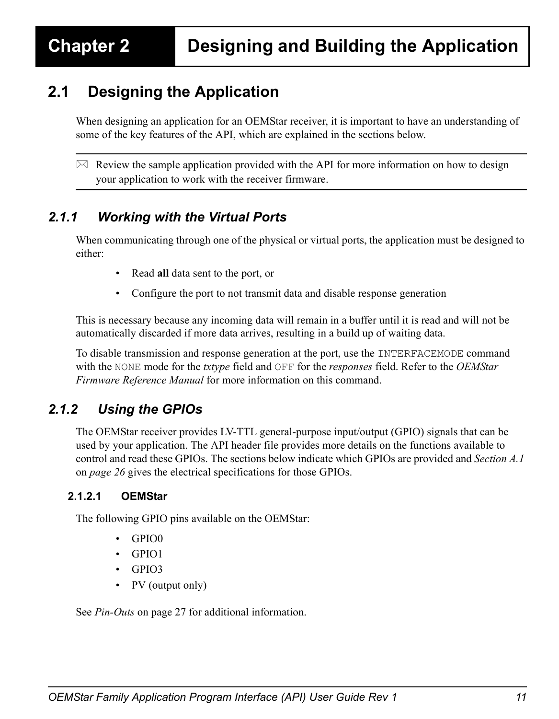# <span id="page-10-4"></span><span id="page-10-1"></span><span id="page-10-0"></span>**2.1 Designing the Application**

When designing an application for an OEMStar receiver, it is important to have an understanding of some of the key features of the API, which are explained in the sections below.

 $\boxtimes$  Review the sample application provided with the API for more information on how to design your application to work with the receiver firmware.

## <span id="page-10-2"></span>*2.1.1 Working with the Virtual Ports*

When communicating through one of the physical or virtual ports, the application must be designed to either:

- <span id="page-10-6"></span>• Read **all** data sent to the port, or
- Configure the port to not transmit data and disable response generation

This is necessary because any incoming data will remain in a buffer until it is read and will not be automatically discarded if more data arrives, resulting in a build up of waiting data.

To disable transmission and response generation at the port, use the INTERFACEMODE command with the NONE mode for the *txtype* field and OFF for the *responses* field. Refer to the *OEMStar Firmware Reference Manual* for more information on this command.

## <span id="page-10-3"></span>*2.1.2 Using the GPIOs*

<span id="page-10-5"></span>The OEMStar receiver provides LV-TTL general-purpose input/output (GPIO) signals that can be used by your application. The API header file provides more details on the functions available to control and read these GPIOs. The sections below indicate which GPIOs are provided and *[Section A.1](#page-25-3)* on *[page 26](#page-25-3)* gives the electrical specifications for those GPIOs.

#### **2.1.2.1 OEMStar**

The following GPIO pins available on the OEMStar:

- GPIO0
- GPIO1
- GPIO3
- PV (output only)

See *Pin-Outs* [on page 27](#page-26-0) for additional information.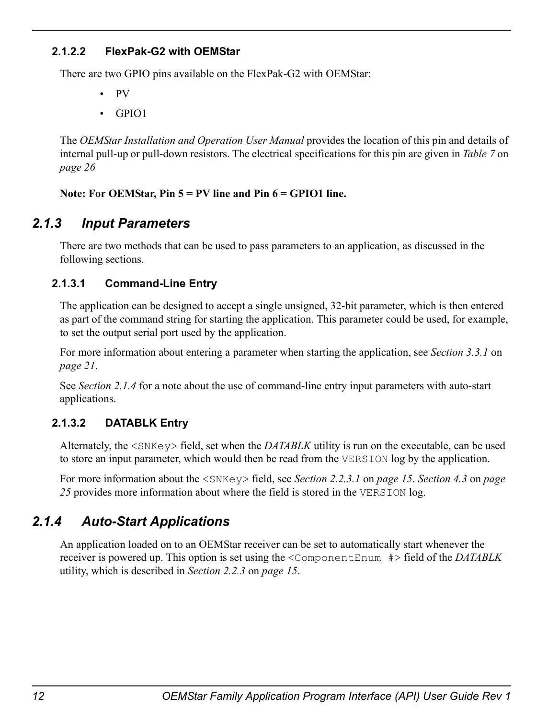#### **2.1.2.2 FlexPak-G2 with OEMStar**

There are two GPIO pins available on the FlexPak-G2 with OEMStar:

- PV
- GPIO1

The *OEMStar Installation and Operation User Manual* provides the location of this pin and details of internal pull-up or pull-down resistors. The electrical specifications for this pin are given in *[Table 7](#page-25-4)* on *[page 26](#page-25-4)*

**Note: For OEMStar, Pin 5 = PV line and Pin 6 = GPIO1 line.**

## *2.1.3 Input Parameters*

<span id="page-11-3"></span>There are two methods that can be used to pass parameters to an application, as discussed in the following sections.

#### **2.1.3.1 Command-Line Entry**

The application can be designed to accept a single unsigned, 32-bit parameter, which is then entered as part of the command string for starting the application. This parameter could be used, for example, to set the output serial port used by the application.

For more information about entering a parameter when starting the application, see *[Section 3.3.1](#page-20-3)* on *[page 21](#page-20-3)*.

<span id="page-11-4"></span>See *[Section 2.1.4](#page-11-0)* for a note about the use of command-line entry input parameters with auto-start applications.

## <span id="page-11-1"></span>**2.1.3.2 DATABLK Entry**

Alternately, the <SNKey> field, set when the *DATABLK* utility is run on the executable, can be used to store an input parameter, which would then be read from the VERSION log by the application.

<span id="page-11-2"></span>For more information about the <SNKey> field, see *[Section 2.2.3.1](#page-14-2)* on *page 15*. *[Section 4.3](#page-24-3)* on *page [25](#page-24-3)* provides more information about where the field is stored in the VERSION log.

## <span id="page-11-0"></span>*2.1.4 Auto-Start Applications*

An application loaded on to an OEMStar receiver can be set to automatically start whenever the receiver is powered up. This option is set using the <ComponentEnum #> field of the *DATABLK* utility, which is described in *[Section 2.2.3](#page-14-0)* on *page 15*.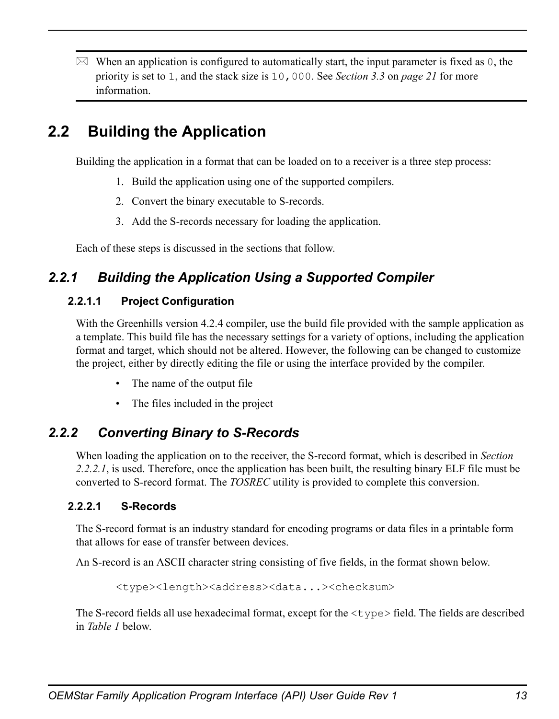$\boxtimes$  When an application is configured to automatically start, the input parameter is fixed as 0, the priority is set to 1, and the stack size is 10,000. See *[Section 3.3](#page-20-4)* on *page 21* for more information.

# <span id="page-12-0"></span>**2.2 Building the Application**

<span id="page-12-4"></span>Building the application in a format that can be loaded on to a receiver is a three step process:

- 1. Build the application using one of the supported compilers.
- 2. Convert the binary executable to S-records.
- 3. Add the S-records necessary for loading the application.

Each of these steps is discussed in the sections that follow.

# <span id="page-12-1"></span>*2.2.1 Building the Application Using a Supported Compiler*

#### <span id="page-12-6"></span>**2.2.1.1 Project Configuration**

With the Greenhills version 4.2.4 compiler, use the build file provided with the sample application as a template. This build file has the necessary settings for a variety of options, including the application format and target, which should not be altered. However, the following can be changed to customize the project, either by directly editing the file or using the interface provided by the compiler.

- The name of the output file
- <span id="page-12-7"></span>• The files included in the project

## <span id="page-12-2"></span>*2.2.2 Converting Binary to S-Records*

When loading the application on to the receiver, the S-record format, which is described in *[Section](#page-12-3)  [2.2.2.1](#page-12-3)*, is used. Therefore, once the application has been built, the resulting binary ELF file must be converted to S-record format. The *TOSREC* utility is provided to complete this conversion.

#### <span id="page-12-3"></span>**2.2.2.1 S-Records**

The S-record format is an industry standard for encoding programs or data files in a printable form that allows for ease of transfer between devices.

An S-record is an ASCII character string consisting of five fields, in the format shown below.

<span id="page-12-5"></span><type><length><address><data...><checksum>

The S-record fields all use hexadecimal format, except for the  $\langle \text{type}\rangle$  field. The fields are described in *[Table 1](#page-13-0)* below.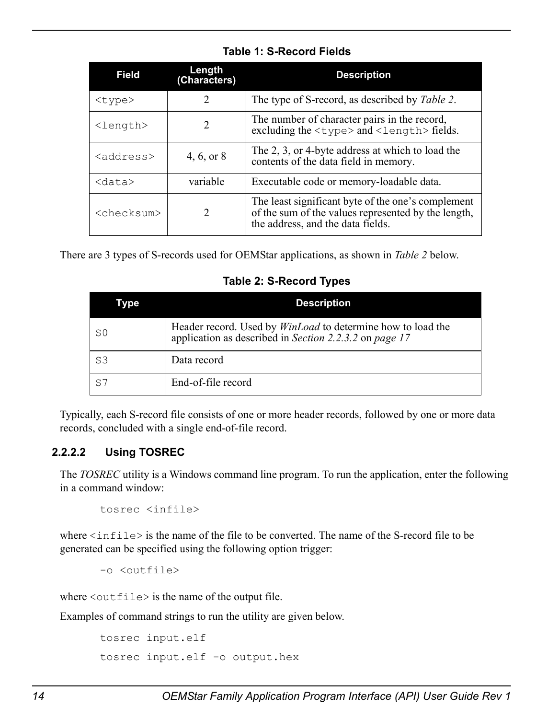<span id="page-13-0"></span>

| <b>Field</b>        | Length<br>(Characters) | <b>Description</b>                                                                                                                             |
|---------------------|------------------------|------------------------------------------------------------------------------------------------------------------------------------------------|
| $<$ type $>$        | 2                      | The type of S-record, as described by <i>Table 2</i> .                                                                                         |
| <length></length>   | 2                      | The number of character pairs in the record,<br>excluding the $\langle \text{type}\rangle$ and $\langle \text{length}\rangle$ fields.          |
| <address></address> | 4, 6, or 8             | The 2, 3, or 4-byte address at which to load the<br>contents of the data field in memory.                                                      |
| $<$ data $>$        | variable               | Executable code or memory-loadable data.                                                                                                       |
| $<$ checksum $>$    | 2                      | The least significant byte of the one's complement<br>of the sum of the values represented by the length,<br>the address, and the data fields. |

#### <span id="page-13-2"></span> **Table 1: S-Record Fields**

<span id="page-13-1"></span>There are 3 types of S-records used for OEMStar applications, as shown in *[Table 2](#page-13-1)* below.

 **Table 2: S-Record Types**

| Type           | <b>Description</b>                                                                                                           |
|----------------|------------------------------------------------------------------------------------------------------------------------------|
| S0             | Header record. Used by <i>WinLoad</i> to determine how to load the<br>application as described in Section 2.2.3.2 on page 17 |
| S <sub>3</sub> | Data record                                                                                                                  |
| S7             | End-of-file record                                                                                                           |

<span id="page-13-3"></span>Typically, each S-record file consists of one or more header records, followed by one or more data records, concluded with a single end-of-file record.

#### **2.2.2.2 Using TOSREC**

The *TOSREC* utility is a Windows command line program. To run the application, enter the following in a command window:

tosrec <infile>

where  $\langle$ infile> is the name of the file to be converted. The name of the S-record file to be generated can be specified using the following option trigger:

```
-o <outfile>
```
where  $\langle \text{outfile} \rangle$  is the name of the output file.

Examples of command strings to run the utility are given below.

```
tosrec input.elf
tosrec input.elf -o output.hex
```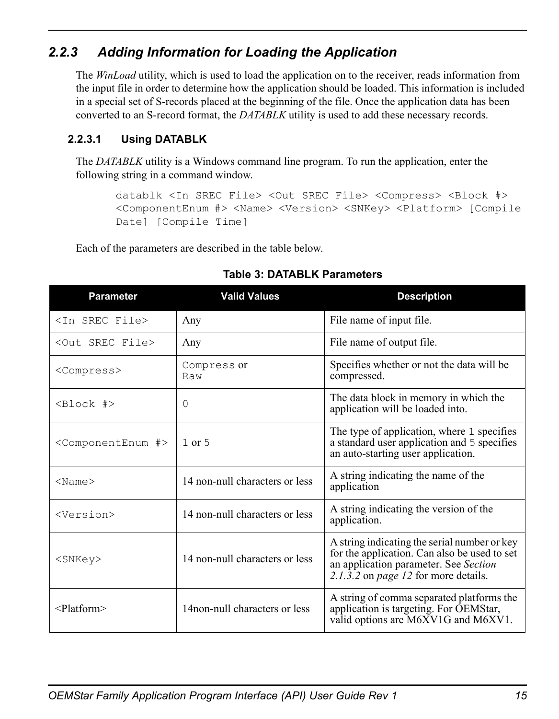# <span id="page-14-0"></span>*2.2.3 Adding Information for Loading the Application*

<span id="page-14-5"></span>The *WinLoad* utility, which is used to load the application on to the receiver, reads information from the input file in order to determine how the application should be loaded. This information is included in a special set of S-records placed at the beginning of the file. Once the application data has been converted to an S-record format, the *DATABLK* utility is used to add these necessary records.

## <span id="page-14-3"></span><span id="page-14-2"></span>**2.2.3.1 Using DATABLK**

The *DATABLK* utility is a Windows command line program. To run the application, enter the following string in a command window.

<span id="page-14-4"></span>datablk <In SREC File> <Out SREC File> <Compress> <Block #> <ComponentEnum #> <Name> <Version> <SNKey> <Platform> [Compile Date] [Compile Time]

<span id="page-14-1"></span>Each of the parameters are described in the table below.

| <b>Parameter</b>                     | <b>Valid Values</b>            | <b>Description</b>                                                                                                                                                            |
|--------------------------------------|--------------------------------|-------------------------------------------------------------------------------------------------------------------------------------------------------------------------------|
| <in file="" srec=""></in>            | Any                            | File name of input file.                                                                                                                                                      |
| <out file="" srec=""></out>          | Any                            | File name of output file.                                                                                                                                                     |
| <compress></compress>                | Compress or<br>Raw             | Specifies whether or not the data will be<br>compressed.                                                                                                                      |
| <block #=""></block>                 | 0                              | The data block in memory in which the<br>application will be loaded into.                                                                                                     |
| <componentenum #=""></componentenum> | $1$ or $5$                     | The type of application, where 1 specifies<br>a standard user application and 5 specifies<br>an auto-starting user application.                                               |
| $<$ Name $>$                         | 14 non-null characters or less | A string indicating the name of the<br>application                                                                                                                            |
| <version></version>                  | 14 non-null characters or less | A string indicating the version of the<br>application.                                                                                                                        |
| <snkev></snkev>                      | 14 non-null characters or less | A string indicating the serial number or key<br>for the application. Can also be used to set<br>an application parameter. See Section<br>2.1.3.2 on page 12 for more details. |
| $<$ Platform $>$                     | 14non-null characters or less  | A string of comma separated platforms the<br>application is targeting. For OEMStar,<br>valid options are M6XV1G and M6XV1.                                                    |

#### **Table 3: DATABLK Parameters**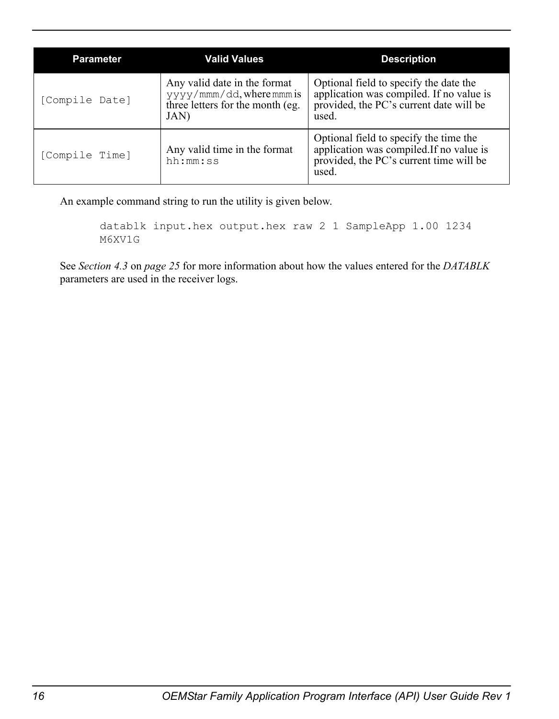| <b>Parameter</b> | <b>Valid Values</b>                                                                                   | <b>Description</b>                                                                                                                     |
|------------------|-------------------------------------------------------------------------------------------------------|----------------------------------------------------------------------------------------------------------------------------------------|
| [Compile Date]   | Any valid date in the format<br>yyyy/mmm/dd, where mmm is<br>three letters for the month (eg.<br>JAN) | Optional field to specify the date the<br>application was compiled. If no value is<br>provided, the PC's current date will be<br>used. |
| [Compile Time]   | Any valid time in the format<br>hh:mm:ss                                                              | Optional field to specify the time the<br>application was compiled.If no value is<br>provided, the PC's current time will be<br>used.  |

An example command string to run the utility is given below.

```
datablk input.hex output.hex raw 2 1 SampleApp 1.00 1234 
M6XV1G
```
See *[Section 4.3](#page-24-3)* on *page 25* for more information about how the values entered for the *DATABLK* parameters are used in the receiver logs.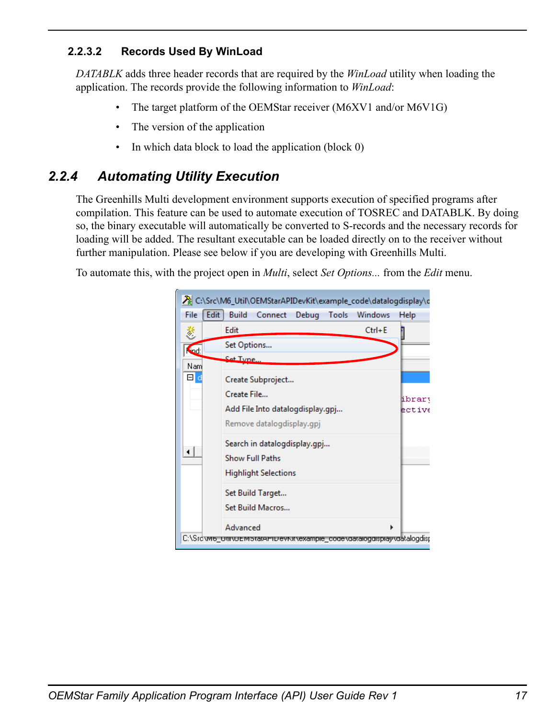### <span id="page-16-1"></span>**2.2.3.2 Records Used By WinLoad**

*DATABLK* adds three header records that are required by the *WinLoad* utility when loading the application. The records provide the following information to *WinLoad*:

- <span id="page-16-4"></span>• The target platform of the OEMStar receiver (M6XV1 and/or M6V1G)
- The version of the application
- <span id="page-16-2"></span>• In which data block to load the application (block 0)

# <span id="page-16-0"></span>*2.2.4 Automating Utility Execution*

<span id="page-16-3"></span>The Greenhills Multi development environment supports execution of specified programs after compilation. This feature can be used to automate execution of TOSREC and DATABLK. By doing so, the binary executable will automatically be converted to S-records and the necessary records for loading will be added. The resultant executable can be loaded directly on to the receiver without further manipulation. Please see below if you are developing with Greenhills Multi.

To automate this, with the project open in *Multi*, select *Set Options...* from the *Edit* menu.

|             | 入 C:\Src\M6_Util\OEMStarAPIDevKit\example_code\datalogdisplay\d         |        |
|-------------|-------------------------------------------------------------------------|--------|
| File        | <b>Edit</b><br><b>Build</b><br>Connect Debug Tools Windows              | Help   |
| 菱           | $Ctrl + E$<br><b>Edit</b>                                               |        |
| <b>Ked:</b> | Set Options                                                             |        |
| Nam         | Cet Tyne.                                                               |        |
| Ξd          | Create Subproject                                                       |        |
|             | Create File                                                             | ibrary |
|             | Add File Into datalogdisplay.gpj                                        | ective |
|             | Remove datalogdisplay.gpj                                               |        |
|             | Search in datalogdisplay.gpj                                            |        |
| ◂∣          | <b>Show Full Paths</b>                                                  |        |
|             | <b>Highlight Selections</b>                                             |        |
|             | Set Build Target                                                        |        |
|             | Set Build Macros                                                        |        |
|             | Advanced                                                                | Þ      |
|             | C:\Srd\mb_Uttr\UEmptarAHrDevNit\example_code\datalogdisplay\datalogdisp |        |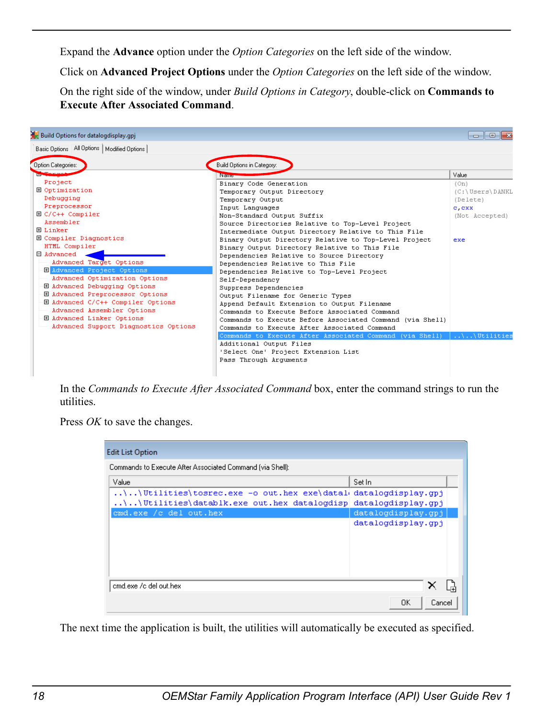Expand the **Advance** option under the *Option Categories* on the left side of the window.

Click on **Advanced Project Options** under the *Option Categories* on the left side of the window.

On the right side of the window, under *Build Options in Category*, double-click on **Commands to Execute After Associated Command**.

| Build Options for datalogdisplay.gpj         |                                                           | -0<br><b>.</b>     |
|----------------------------------------------|-----------------------------------------------------------|--------------------|
| Basic Options All Options   Modified Options |                                                           |                    |
| Option Categories:                           | Build Options in Category:                                |                    |
|                                              | <b>Name</b>                                               | Value              |
| Project                                      | Binary Code Generation                                    | (On)               |
| <b>El Optimization</b>                       | Temporary Output Directory                                | (C:\Users\DANKL    |
| Debugging                                    | Temporary Output                                          | (Delete)           |
| Preprocessor                                 | Input Languages                                           | c.cxx              |
| $\boxplus$ C/C++ Compiler                    | Non-Standard Output Suffix                                | (Not Accepted)     |
| Assembler                                    | Source Directories Relative to Top-Level Project          |                    |
| <b>FLinker</b>                               | Intermediate Output Directory Relative to This File       |                    |
| <b>El Compiler Diagnostics</b>               | Binary Output Directory Relative to Top-Level Project     | exe                |
| HTML Compiler                                | Binary Output Directory Relative to This File             |                    |
| <b>E</b> Advanced                            | Dependencies Relative to Source Directory                 |                    |
| Advanced Target Options                      | Dependencies Relative to This File                        |                    |
| <b>H</b> Advanced Project Options            | Dependencies Relative to Top-Level Project                |                    |
| Advanced Optimization Options                | Self-Dependency                                           |                    |
| <b>E Advanced Debugging Options</b>          | Suppress Dependencies                                     |                    |
| <b>H</b> Advanced Preprocessor Options       | Output Filename for Generic Types                         |                    |
| 田 Advanced C/C++ Compiler Options            | Append Default Extension to Output Filename               |                    |
| Advanced Assembler Options                   | Commands to Execute Before Associated Command             |                    |
| <b>E Advanced Linker Options</b>             | Commands to Execute Before Associated Command (via Shell) |                    |
| Advanced Support Diagnostics Options         | Commands to Execute After Associated Command              |                    |
|                                              | Commands to Execute After Associated Command (via Shell)  | $\ldots$ Utilities |
|                                              | Additional Output Files                                   |                    |
|                                              | 'Select One' Project Extension List                       |                    |
|                                              | Pass Through Arquments                                    |                    |

In the *Commands to Execute After Associated Command* box, enter the command strings to run the utilities.

Press *OK* to save the changes.

| <b>Edit List Option</b>                                                                                          |                    |  |
|------------------------------------------------------------------------------------------------------------------|--------------------|--|
| Commands to Execute After Associated Command (via Shell):                                                        |                    |  |
| Value                                                                                                            | Set In             |  |
| $\langle . . \rangle$ Utilities $\langle$ tosrec.exe -o out.hex exe $\langle$ datal $\langle$ datalogdisplay.gpj |                    |  |
| \\Utilities\datablk.exe out.hex datalogdisp datalogdisplay.gpj                                                   |                    |  |
| emd.exe /c del out.hex                                                                                           | datalogdisplay.gpj |  |
|                                                                                                                  | datalogdisplay.gpj |  |
| emdlexe /c del out.hex                                                                                           |                    |  |
|                                                                                                                  | 0K<br>Cancel       |  |

The next time the application is built, the utilities will automatically be executed as specified.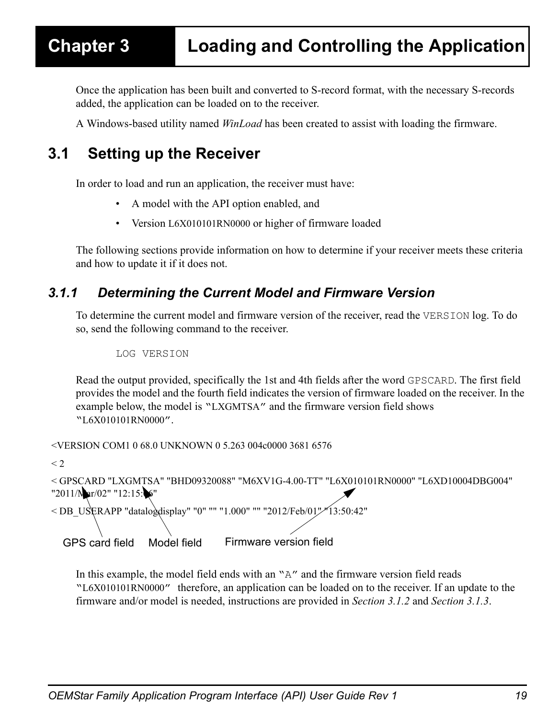<span id="page-18-0"></span>Once the application has been built and converted to S-record format, with the necessary S-records added, the application can be loaded on to the receiver.

<span id="page-18-3"></span>A Windows-based utility named *WinLoad* has been created to assist with loading the firmware.

# <span id="page-18-1"></span>**3.1 Setting up the Receiver**

In order to load and run an application, the receiver must have:

- <span id="page-18-5"></span>• A model with the API option enabled, and
- <span id="page-18-4"></span>• Version L6X010101RN0000 or higher of firmware loaded

The following sections provide information on how to determine if your receiver meets these criteria and how to update it if it does not.

## <span id="page-18-2"></span>*3.1.1 Determining the Current Model and Firmware Version*

To determine the current model and firmware version of the receiver, read the VERSION log. To do so, send the following command to the receiver.

LOG VERSION

Read the output provided, specifically the 1st and 4th fields after the word GPSCARD. The first field provides the model and the fourth field indicates the version of firmware loaded on the receiver. In the example below, the model is "LXGMTSA" and the firmware version field shows "L6X010101RN0000".

<VERSION COM1 0 68.0 UNKNOWN 0 5.263 004c0000 3681 6576

 $<$  2.

```
< GPSCARD "LXGMTSA" "BHD09320088" "M6XV1G-4.00-TT" "L6X010101RN0000" "L6XD10004DBG004" 
"2011/Nar/02" "12:15:06"
```
 $<$  DB\_USERAPP "datalogdisplay" "0" "" "1.000" "" "2012/Feb/01" 13:50:42"

```
GPS card field Model field Firmware version field
```
In this example, the model field ends with an "A" and the firmware version field reads "L6X010101RN0000" therefore, an application can be loaded on to the receiver. If an update to the firmware and/or model is needed, instructions are provided in *[Section 3.1.2](#page-19-0)* and *[Section 3.1.3](#page-19-1)*.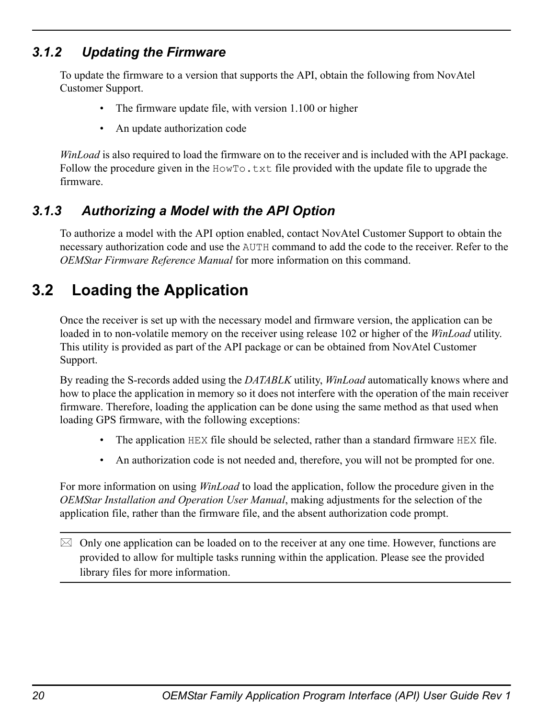## <span id="page-19-0"></span>*3.1.2 Updating the Firmware*

To update the firmware to a version that supports the API, obtain the following from NovAtel Customer Support.

- The firmware update file, with version 1.100 or higher
- <span id="page-19-3"></span>• An update authorization code

*WinLoad* is also required to load the firmware on to the receiver and is included with the API package. Follow the procedure given in the  $HowTo.txt$  file provided with the update file to upgrade the firmware.

## <span id="page-19-1"></span>*3.1.3 Authorizing a Model with the API Option*

To authorize a model with the API option enabled, contact NovAtel Customer Support to obtain the necessary authorization code and use the AUTH command to add the code to the receiver. Refer to the *OEMStar Firmware Reference Manual* for more information on this command.

# <span id="page-19-2"></span>**3.2 Loading the Application**

Once the receiver is set up with the necessary model and firmware version, the application can be loaded in to non-volatile memory on the receiver using release 102 or higher of the *WinLoad* utility. This utility is provided as part of the API package or can be obtained from NovAtel Customer Support.

By reading the S-records added using the *DATABLK* utility, *WinLoad* automatically knows where and how to place the application in memory so it does not interfere with the operation of the main receiver firmware. Therefore, loading the application can be done using the same method as that used when loading GPS firmware, with the following exceptions:

- The application HEX file should be selected, rather than a standard firmware HEX file.
- An authorization code is not needed and, therefore, you will not be prompted for one.

For more information on using *WinLoad* to load the application, follow the procedure given in the *OEMStar Installation and Operation User Manual*, making adjustments for the selection of the application file, rather than the firmware file, and the absent authorization code prompt.

 $\boxtimes$  Only one application can be loaded on to the receiver at any one time. However, functions are provided to allow for multiple tasks running within the application. Please see the provided library files for more information.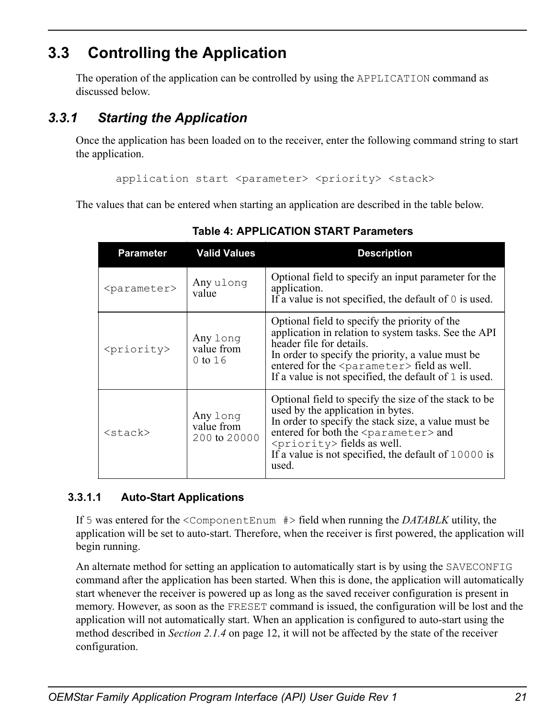# <span id="page-20-0"></span>**3.3 Controlling the Application**

<span id="page-20-4"></span><span id="page-20-3"></span>The operation of the application can be controlled by using the APPLICATION command as discussed below.

# <span id="page-20-1"></span>*3.3.1 Starting the Application*

Once the application has been loaded on to the receiver, enter the following command string to start the application.

application start <parameter> <priority> <stack>

<span id="page-20-2"></span>The values that can be entered when starting an application are described in the table below.

| <b>Parameter</b>        | <b>Valid Values</b>                    | <b>Description</b>                                                                                                                                                                                                                                                                                                 |
|-------------------------|----------------------------------------|--------------------------------------------------------------------------------------------------------------------------------------------------------------------------------------------------------------------------------------------------------------------------------------------------------------------|
| <parameter></parameter> | Any ulong<br>value                     | Optional field to specify an input parameter for the<br>application.<br>If a value is not specified, the default of $\theta$ is used.                                                                                                                                                                              |
| <priority></priority>   | Any long<br>value from<br>$0$ to $16$  | Optional field to specify the priority of the<br>application in relation to system tasks. See the API<br>header file for details.<br>In order to specify the priority, a value must be<br>entered for the <parameter> field as well.<br/>If a value is not specified, the default of 1 is used.</parameter>        |
| $<$ stack $>$           | Any long<br>value from<br>200 to 20000 | Optional field to specify the size of the stack to be<br>used by the application in bytes.<br>In order to specify the stack size, a value must be<br>entered for both the <parameter> and<br/><priority> fields as well.<br/>If a value is not specified, the default of 10000 is<br/>used.</priority></parameter> |

 **Table 4: APPLICATION START Parameters**

## **3.3.1.1 Auto-Start Applications**

<span id="page-20-5"></span>If 5 was entered for the <ComponentEnum #> field when running the *DATABLK* utility, the application will be set to auto-start. Therefore, when the receiver is first powered, the application will begin running.

An alternate method for setting an application to automatically start is by using the SAVECONFIG command after the application has been started. When this is done, the application will automatically start whenever the receiver is powered up as long as the saved receiver configuration is present in memory. However, as soon as the FRESET command is issued, the configuration will be lost and the application will not automatically start. When an application is configured to auto-start using the method described in *[Section 2.1.4](#page-11-2)* on page 12, it will not be affected by the state of the receiver configuration.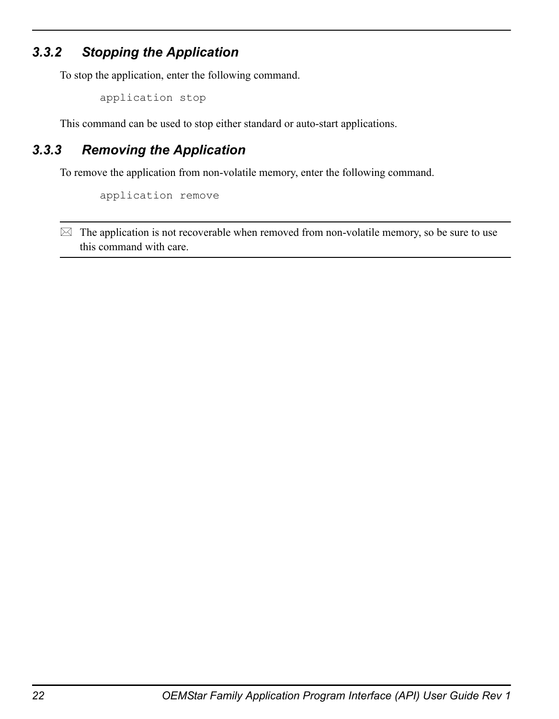## <span id="page-21-0"></span>*3.3.2 Stopping the Application*

To stop the application, enter the following command.

<span id="page-21-3"></span><span id="page-21-2"></span>application stop

This command can be used to stop either standard or auto-start applications.

## <span id="page-21-1"></span>*3.3.3 Removing the Application*

To remove the application from non-volatile memory, enter the following command.

application remove

 $\boxtimes$  The application is not recoverable when removed from non-volatile memory, so be sure to use this command with care.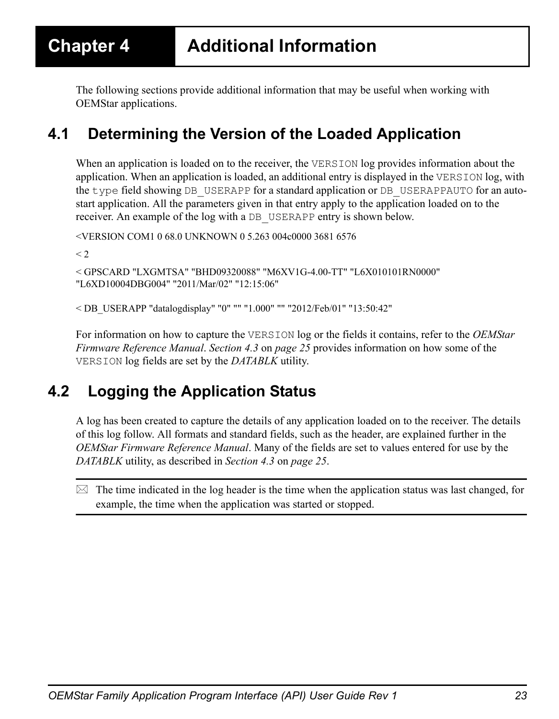<span id="page-22-5"></span><span id="page-22-0"></span>The following sections provide additional information that may be useful when working with OEMStar applications.

# <span id="page-22-1"></span>**4.1 Determining the Version of the Loaded Application**

When an application is loaded on to the receiver, the VERSION log provides information about the application. When an application is loaded, an additional entry is displayed in the VERSION log, with the type field showing DB\_USERAPP for a standard application or DB\_USERAPPAUTO for an autostart application. All the parameters given in that entry apply to the application loaded on to the receiver. An example of the log with a DB\_USERAPP entry is shown below.

<VERSION COM1 0 68.0 UNKNOWN 0 5.263 004c0000 3681 6576

 $<$  2

```
< GPSCARD "LXGMTSA" "BHD09320088" "M6XV1G-4.00-TT" "L6X010101RN0000" 
"L6XD10004DBG004" "2011/Mar/02" "12:15:06"
```
< DB\_USERAPP "datalogdisplay" "0" "" "1.000" "" "2012/Feb/01" "13:50:42"

<span id="page-22-4"></span>For information on how to capture the VERSION log or the fields it contains, refer to the *OEMStar Firmware Reference Manual*. *[Section 4.3](#page-24-0)* on *page 25* provides information on how some of the VERSION log fields are set by the *DATABLK* utility.

# <span id="page-22-3"></span><span id="page-22-2"></span>**4.2 Logging the Application Status**

A log has been created to capture the details of any application loaded on to the receiver. The details of this log follow. All formats and standard fields, such as the header, are explained further in the *OEMStar Firmware Reference Manual*. Many of the fields are set to values entered for use by the *DATABLK* utility, as described in *[Section 4.3](#page-24-0)* on *page 25*.

 $\boxtimes$  The time indicated in the log header is the time when the application status was last changed, for example, the time when the application was started or stopped.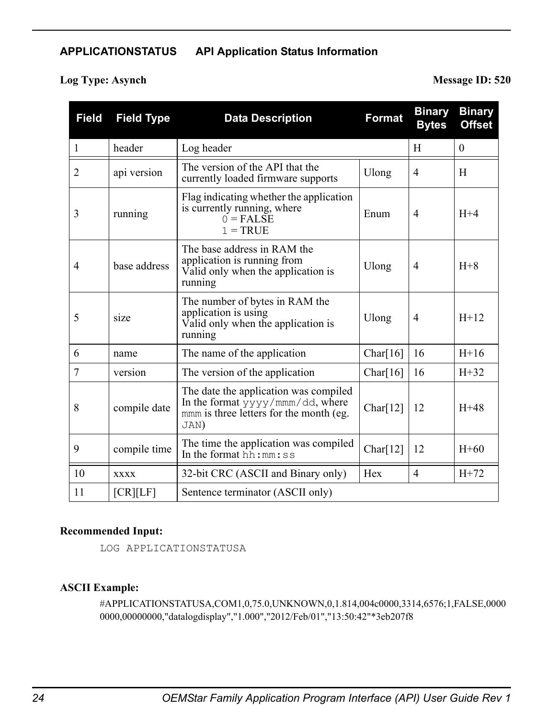#### **APPLICATIONSTATUS API Application Status Information**

## **Log Type: Asynch Message ID: 520**

| <b>Field</b> | <b>Field Type</b> | <b>Data Description</b>                                                                                                      | <b>Format</b> | <b>Binary</b><br><b>Bytes</b> | <b>Binary</b><br><b>Offset</b> |
|--------------|-------------------|------------------------------------------------------------------------------------------------------------------------------|---------------|-------------------------------|--------------------------------|
| $\mathbf{1}$ | header            | Log header                                                                                                                   |               | H                             | $\theta$                       |
| 2            | api version       | The version of the API that the<br>currently loaded firmware supports                                                        | Ulong         | $\overline{4}$                | H                              |
| 3            | running           | Flag indicating whether the application<br>is currently running, where<br>$0 = FAISE$<br>$1 = TRUE$                          | Enum          | $\overline{4}$                | $H+4$                          |
| 4            | base address      | The base address in RAM the<br>application is running from<br>Valid only when the application is<br>running                  | Ulong         | $\overline{4}$                | $H+8$                          |
| 5            | size              | The number of bytes in RAM the<br>application is using<br>Valid only when the application is<br>running                      | Ulong         | $\overline{4}$                | $H+12$                         |
| 6            | name              | The name of the application                                                                                                  | Char $[16]$   | 16                            | $H+16$                         |
| 7            | version           | The version of the application                                                                                               | Char $[16]$   | 16                            | $H+32$                         |
| 8            | compile date      | The date the application was compiled<br>In the format yyyy/mmm/dd, where<br>mmm is three letters for the month (eg.<br>JAN) | Char $[12]$   | 12                            | $H+48$                         |
| 9            | compile time      | The time the application was compiled<br>In the format $hh:mm:ss$                                                            | Char $[12]$   | 12                            | $H + 60$                       |
| 10           | <b>XXXX</b>       | 32-bit CRC (ASCII and Binary only)                                                                                           | Hex           | $\overline{4}$                | $H+72$                         |
| 11           | [CR][LF]          | Sentence terminator (ASCII only)                                                                                             |               |                               |                                |

#### **Recommended Input:**

LOG APPLICATIONSTATUSA

#### **ASCII Example:**

#APPLICATIONSTATUSA,COM1,0,75.0,UNKNOWN,0,1.814,004c0000,3314,6576;1,FALSE,0000 0000,00000000,"datalogdisplay","1.000","2012/Feb/01","13:50:42"\*3eb207f8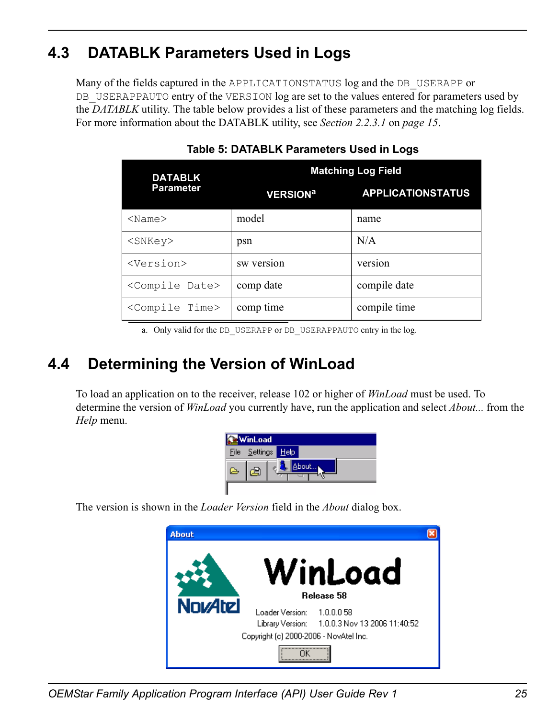# <span id="page-24-3"></span><span id="page-24-0"></span>**4.3 DATABLK Parameters Used in Logs**

Many of the fields captured in the APPLICATIONSTATUS log and the DB USERAPP or DB USERAPPAUTO entry of the VERSION log are set to the values entered for parameters used by the *DATABLK* utility. The table below provides a list of these parameters and the matching log fields. For more information about the DATABLK utility, see *[Section 2.2.3.1](#page-14-3)* on *page 15*.

<span id="page-24-2"></span>

| <b>DATABLK</b>              | <b>Matching Log Field</b>  |                          |  |
|-----------------------------|----------------------------|--------------------------|--|
| <b>Parameter</b>            | <b>VERSION<sup>a</sup></b> | <b>APPLICATIONSTATUS</b> |  |
| $<$ Name $>$                | model                      | name                     |  |
| $<$ SNKe $v$ >              | psn                        | N/A                      |  |
| <version></version>         | sw version                 | version                  |  |
| <compile date=""></compile> | comp date                  | compile date             |  |
| <compile time=""></compile> | comp time                  | compile time             |  |

 **Table 5: DATABLK Parameters Used in Logs**

a. Only valid for the DB\_USERAPP or DB\_USERAPPAUTO entry in the log.

# <span id="page-24-1"></span>**4.4 Determining the Version of WinLoad**

To load an application on to the receiver, release 102 or higher of *WinLoad* must be used. To determine the version of *WinLoad* you currently have, run the application and select *About...* from the *Help* menu.

<span id="page-24-4"></span>

| WinLoad          |                      |             |  |
|------------------|----------------------|-------------|--|
|                  | <u>File Settings</u> | <b>Help</b> |  |
| $\triangleright$ | ≌                    |             |  |
|                  |                      |             |  |

The version is shown in the *Loader Version* field in the *About* dialog box.



*OEMStar Family Application Program Interface (API) User Guide Rev 1 25*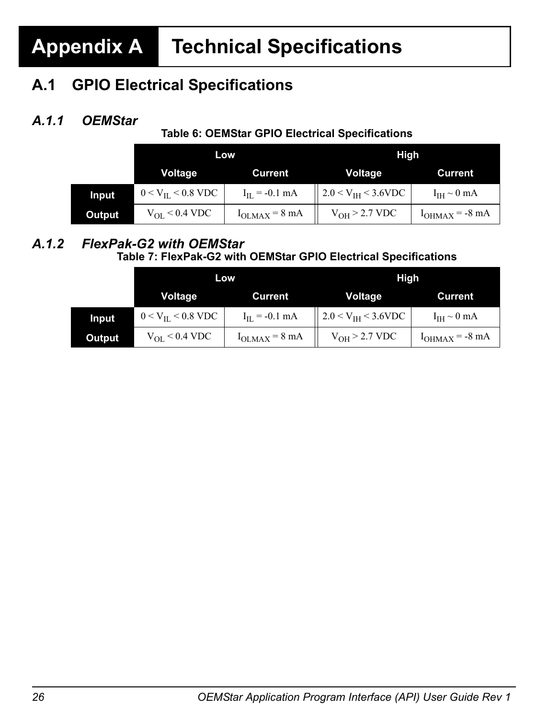# <span id="page-25-0"></span>**Appendix A Technical Specifications**

# <span id="page-25-3"></span>**A.1 GPIO Electrical Specifications**

# *A.1.1 OEMStar*

## **Table 6: OEMStar GPIO Electrical Specifications**

<span id="page-25-1"></span>

|              | Low                                   |                    | High                                                                    |                     |  |
|--------------|---------------------------------------|--------------------|-------------------------------------------------------------------------|---------------------|--|
|              | Voltage                               | <b>Current</b>     | <b>Voltage</b>                                                          | Current             |  |
| <b>Input</b> | $0 < V_{\text{HL}} < 0.8 \text{ VDC}$ | $I_{IL} = -0.1$ mA | 2.0 < $V_{IH}$ < 3.6VDC                                                 | $I_{IH} \sim 0$ mA  |  |
| Output       | $V_{OL}$ < 0.4 VDC                    |                    | $V_{\text{OLMAX}} = 8 \text{ mA}$ $ $ $V_{\text{OH}} > 2.7 \text{ VDC}$ | $I_{OHMAX} = -8 mA$ |  |

### *A.1.2 FlexPak-G2 with OEMStar*  **Table 7: FlexPak-G2 with OEMStar GPIO Electrical Specifications**

<span id="page-25-4"></span><span id="page-25-2"></span>

|        |                            | Low                        | High                    |                     |  |
|--------|----------------------------|----------------------------|-------------------------|---------------------|--|
|        | Voltage                    | <b>Current</b>             | Voltage                 | Current             |  |
| Input  | $0 < V_{\rm IL} < 0.8$ VDC | $I_{IL}$ = -0.1 mA         | 2.0 < $V_{IH}$ < 3.6VDC | $I_{IH} \sim 0$ mA  |  |
| Output | $V_{OL}$ < 0.4 VDC         | $I_{OLMAX} = 8 \text{ mA}$ | $V_{OH}$ > 2.7 VDC      | $I_{OHMAX} = -8 mA$ |  |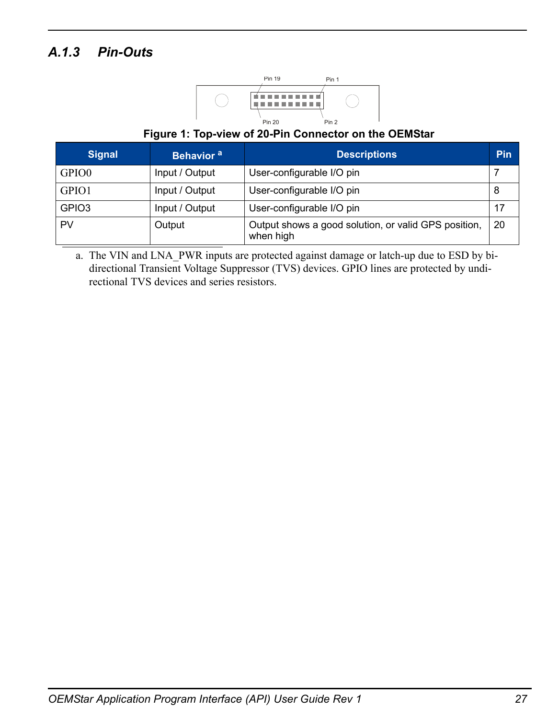# <span id="page-26-0"></span>*A.1.3 Pin-Outs*



#### **Figure 1: Top-view of 20-Pin Connector on the OEMStar**

| <b>Signal</b>     | Behavior <sup>a</sup> | <b>Descriptions</b>                                               | <b>Pin</b> |
|-------------------|-----------------------|-------------------------------------------------------------------|------------|
| GPIO0             | Input / Output        | User-configurable I/O pin                                         |            |
| GPIO1             | Input / Output        | User-configurable I/O pin                                         | 8          |
| GPIO <sub>3</sub> | Input / Output        | User-configurable I/O pin                                         | 17         |
| PV                | Output                | Output shows a good solution, or valid GPS position,<br>when high | 20         |

a. The VIN and LNA\_PWR inputs are protected against damage or latch-up due to ESD by bidirectional Transient Voltage Suppressor (TVS) devices. GPIO lines are protected by undirectional TVS devices and series resistors.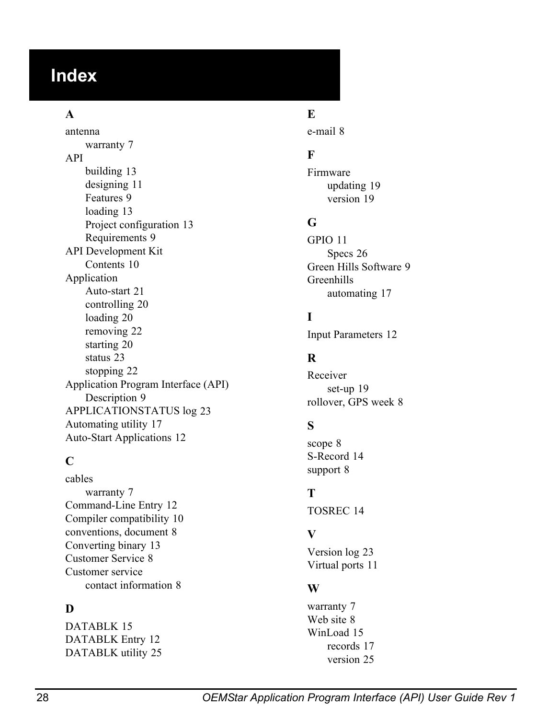# **Index**

## **A**

antenna warranty [7](#page-6-1) API building [13](#page-12-4) designing [11](#page-10-4) Features [9](#page-8-5) loading [13](#page-12-5) Project configuration [13](#page-12-6) Requirements [9](#page-8-6) API Development Kit Contents [10](#page-9-1) Application Auto-start [21](#page-20-5) controlling [20](#page-19-3) loading [20](#page-19-3) removing [22](#page-21-2) starting [20](#page-19-3) status [23](#page-22-4) stopping [22](#page-21-3) Application Pro[gram Interface \(API\)](#page-8-7) Description 9 APPLICATIONSTATUS log [23](#page-22-4) Automating utility [17](#page-16-2) Auto-Start Applications [12](#page-11-2)

#### **C**

cables warranty [7](#page-6-2) Command-Line Entry [12](#page-11-3) Compiler compatibility [10](#page-9-2) conventions, document [8](#page-7-4) Converting binary [13](#page-12-7) Customer Service [8](#page-7-5) Customer service contact information [8](#page-7-6)

## **D**

DATABLK [15](#page-14-4) DATABLK Entry [12](#page-11-4) DATABLK utility [25](#page-24-3)

## **E**

e-mail [8](#page-7-7)

## **F**

Firmware updating [19](#page-18-4) version [19](#page-18-4)

#### **G**

GPIO [11](#page-10-5) Specs [26](#page-25-3) Green Hills Software [9](#page-8-8) Greenhills automating [17](#page-16-3)

## **I**

Input Parameters 12

### **R**

Receiver set-up [19](#page-18-5) rollover, GPS week [8](#page-7-5)

## **S**

scope [8](#page-7-8) S-Record [14](#page-13-2) support [8](#page-7-9)

## **T**

TOSREC [14](#page-13-3)

## **V**

Version log [23](#page-22-5) Virtual ports [11](#page-10-6)

#### **W**

warranty [7](#page-6-3) Web site [8](#page-7-10) WinLoad [15](#page-14-5) records [17](#page-16-4) version [25](#page-24-4)